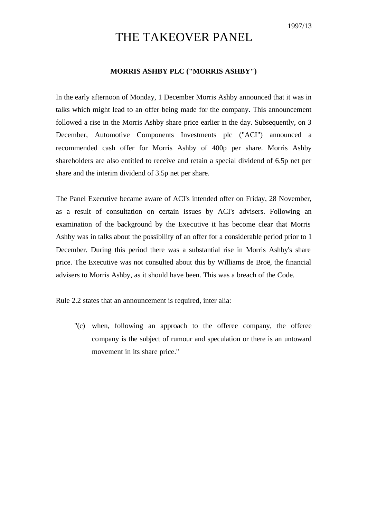## THE TAKEOVER PANEL

## **MORRIS ASHBY PLC ("MORRIS ASHBY")**

In the early afternoon of Monday, 1 December Morris Ashby announced that it was in talks which might lead to an offer being made for the company. This announcement followed a rise in the Morris Ashby share price earlier in the day. Subsequently, on 3 December, Automotive Components Investments plc ("ACI") announced a recommended cash offer for Morris Ashby of 400p per share. Morris Ashby shareholders are also entitled to receive and retain a special dividend of 6.5p net per share and the interim dividend of 3.5p net per share.

The Panel Executive became aware of ACI's intended offer on Friday, 28 November, as a result of consultation on certain issues by ACI's advisers. Following an examination of the background by the Executive it has become clear that Morris Ashby was in talks about the possibility of an offer for a considerable period prior to 1 December. During this period there was a substantial rise in Morris Ashby's share price. The Executive was not consulted about this by Williams de Broë, the financial advisers to Morris Ashby, as it should have been. This was a breach of the Code.

Rule 2.2 states that an announcement is required, inter alia:

"(c) when, following an approach to the offeree company, the offeree company is the subject of rumour and speculation or there is an untoward movement in its share price."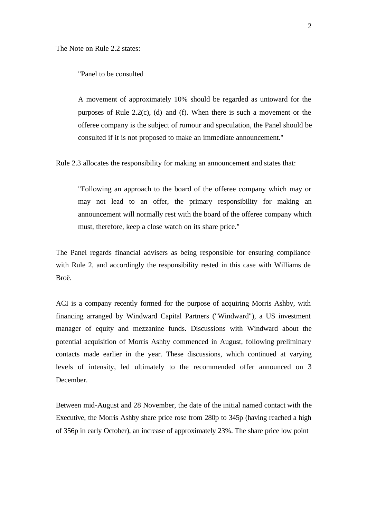The Note on Rule 2.2 states:

"Panel to be consulted

A movement of approximately 10% should be regarded as untoward for the purposes of Rule 2.2(c), (d) and (f). When there is such a movement or the offeree company is the subject of rumour and speculation, the Panel should be consulted if it is not proposed to make an immediate announcement."

Rule 2.3 allocates the responsibility for making an announcement and states that:

"Following an approach to the board of the offeree company which may or may not lead to an offer, the primary responsibility for making an announcement will normally rest with the board of the offeree company which must, therefore, keep a close watch on its share price."

The Panel regards financial advisers as being responsible for ensuring compliance with Rule 2, and accordingly the responsibility rested in this case with Williams de Broë.

ACI is a company recently formed for the purpose of acquiring Morris Ashby, with financing arranged by Windward Capital Partners ("Windward"), a US investment manager of equity and mezzanine funds. Discussions with Windward about the potential acquisition of Morris Ashby commenced in August, following preliminary contacts made earlier in the year. These discussions, which continued at varying levels of intensity, led ultimately to the recommended offer announced on 3 December.

Between mid-August and 28 November, the date of the initial named contact with the Executive, the Morris Ashby share price rose from 280p to 345p (having reached a high of 356p in early October), an increase of approximately 23%. The share price low point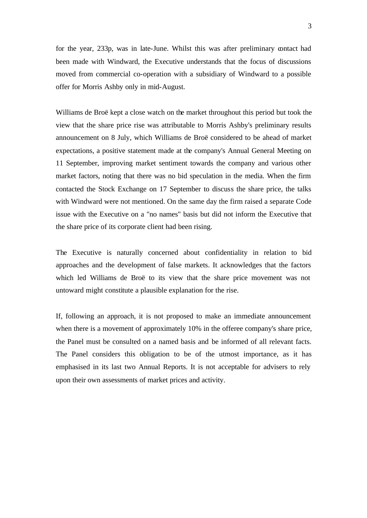for the year, 233p, was in late-June. Whilst this was after preliminary contact had been made with Windward, the Executive understands that the focus of discussions moved from commercial co-operation with a subsidiary of Windward to a possible offer for Morris Ashby only in mid-August.

Williams de Broë kept a close watch on the market throughout this period but took the view that the share price rise was attributable to Morris Ashby's preliminary results announcement on 8 July, which Williams de Broë considered to be ahead of market expectations, a positive statement made at the company's Annual General Meeting on 11 September, improving market sentiment towards the company and various other market factors, noting that there was no bid speculation in the media. When the firm contacted the Stock Exchange on 17 September to discuss the share price, the talks with Windward were not mentioned. On the same day the firm raised a separate Code issue with the Executive on a "no names" basis but did not inform the Executive that the share price of its corporate client had been rising.

The Executive is naturally concerned about confidentiality in relation to bid approaches and the development of false markets. It acknowledges that the factors which led Williams de Broë to its view that the share price movement was not untoward might constitute a plausible explanation for the rise.

If, following an approach, it is not proposed to make an immediate announcement when there is a movement of approximately 10% in the offeree company's share price, the Panel must be consulted on a named basis and be informed of all relevant facts. The Panel considers this obligation to be of the utmost importance, as it has emphasised in its last two Annual Reports. It is not acceptable for advisers to rely upon their own assessments of market prices and activity.